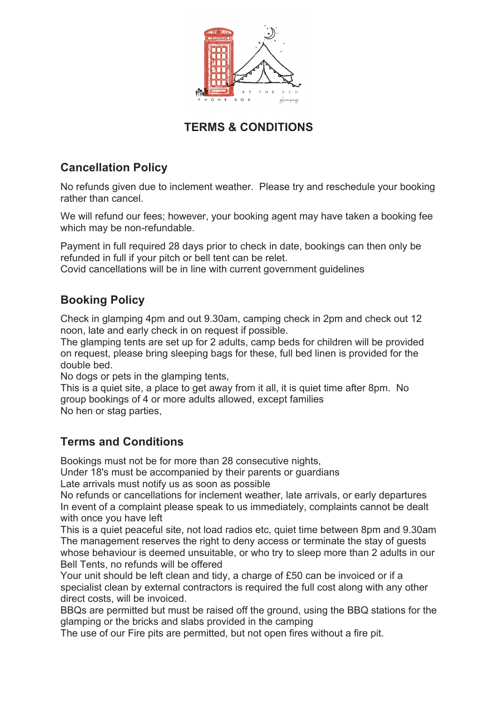

## **TERMS & CONDITIONS**

## **Cancellation Policy**

No refunds given due to inclement weather. Please try and reschedule your booking rather than cancel.

We will refund our fees; however, your booking agent may have taken a booking fee which may be non-refundable.

Payment in full required 28 days prior to check in date, bookings can then only be refunded in full if your pitch or bell tent can be relet.

Covid cancellations will be in line with current government guidelines

## **Booking Policy**

Check in glamping 4pm and out 9.30am, camping check in 2pm and check out 12 noon, late and early check in on request if possible.

The glamping tents are set up for 2 adults, camp beds for children will be provided on request, please bring sleeping bags for these, full bed linen is provided for the double bed.

No dogs or pets in the glamping tents,

This is a quiet site, a place to get away from it all, it is quiet time after 8pm. No group bookings of 4 or more adults allowed, except families No hen or stag parties,

## **Terms and Conditions**

Bookings must not be for more than 28 consecutive nights,

Under 18's must be accompanied by their parents or guardians

Late arrivals must notify us as soon as possible

No refunds or cancellations for inclement weather, late arrivals, or early departures In event of a complaint please speak to us immediately, complaints cannot be dealt with once you have left

This is a quiet peaceful site, not load radios etc, quiet time between 8pm and 9.30am The management reserves the right to deny access or terminate the stay of guests whose behaviour is deemed unsuitable, or who try to sleep more than 2 adults in our Bell Tents, no refunds will be offered

Your unit should be left clean and tidy, a charge of £50 can be invoiced or if a specialist clean by external contractors is required the full cost along with any other direct costs, will be invoiced.

BBQs are permitted but must be raised off the ground, using the BBQ stations for the glamping or the bricks and slabs provided in the camping

The use of our Fire pits are permitted, but not open fires without a fire pit.